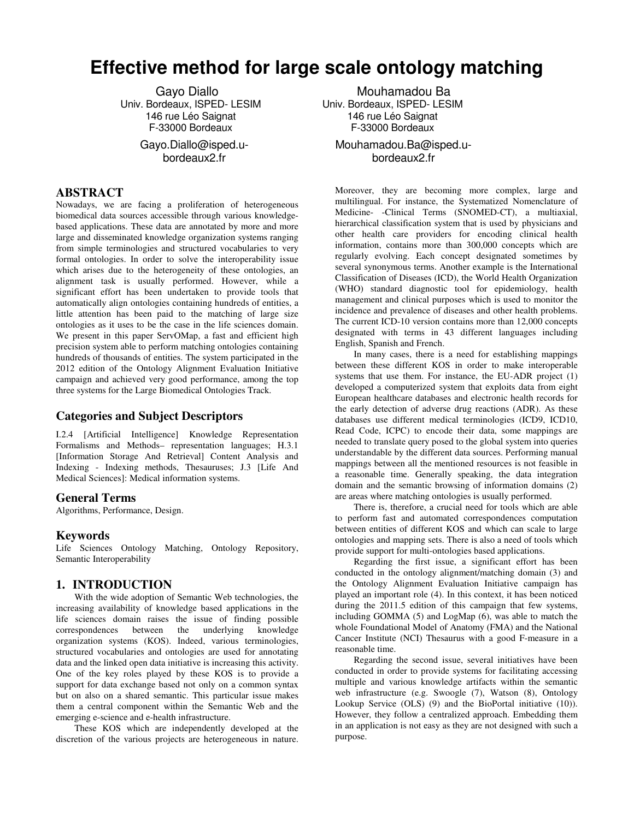# **Effective method for large scale ontology matching**

Gayo Diallo Univ. Bordeaux, ISPED- LESIM 146 rue Léo Saignat F-33000 Bordeaux Gayo.Diallo@isped.ubordeaux2.fr

## **ABSTRACT**

Nowadays, we are facing a proliferation of heterogeneous biomedical data sources accessible through various knowledgebased applications. These data are annotated by more and more large and disseminated knowledge organization systems ranging from simple terminologies and structured vocabularies to very formal ontologies. In order to solve the interoperability issue which arises due to the heterogeneity of these ontologies, an alignment task is usually performed. However, while a significant effort has been undertaken to provide tools that automatically align ontologies containing hundreds of entities, a little attention has been paid to the matching of large size ontologies as it uses to be the case in the life sciences domain. We present in this paper ServOMap, a fast and efficient high precision system able to perform matching ontologies containing hundreds of thousands of entities. The system participated in the 2012 edition of the Ontology Alignment Evaluation Initiative campaign and achieved very good performance, among the top three systems for the Large Biomedical Ontologies Track.

## **Categories and Subject Descriptors**

I.2.4 [Artificial Intelligence] Knowledge Representation Formalisms and Methods– representation languages; H.3.1 [Information Storage And Retrieval] Content Analysis and Indexing - Indexing methods, Thesauruses; J.3 [Life And Medical Sciences]: Medical information systems.

## **General Terms**

Algorithms, Performance, Design.

## **Keywords**

Life Sciences Ontology Matching, Ontology Repository, Semantic Interoperability

## **1. INTRODUCTION**

With the wide adoption of Semantic Web technologies, the increasing availability of knowledge based applications in the life sciences domain raises the issue of finding possible correspondences between the underlying knowledge organization systems (KOS). Indeed, various terminologies, structured vocabularies and ontologies are used for annotating data and the linked open data initiative is increasing this activity. One of the key roles played by these KOS is to provide a support for data exchange based not only on a common syntax but on also on a shared semantic. This particular issue makes them a central component within the Semantic Web and the emerging e-science and e-health infrastructure.

These KOS which are independently developed at the discretion of the various projects are heterogeneous in nature.

 Mouhamadou Ba Univ. Bordeaux, ISPED- LESIM 146 rue Léo Saignat F-33000 Bordeaux

Mouhamadou.Ba@isped.ubordeaux2.fr

Moreover, they are becoming more complex, large and multilingual. For instance, the Systematized Nomenclature of Medicine- -Clinical Terms (SNOMED-CT), a multiaxial, hierarchical classification system that is used by physicians and other health care providers for encoding clinical health information, contains more than 300,000 concepts which are regularly evolving. Each concept designated sometimes by several synonymous terms. Another example is the International Classification of Diseases (ICD), the World Health Organization (WHO) standard diagnostic tool for epidemiology, health management and clinical purposes which is used to monitor the incidence and prevalence of diseases and other health problems. The current ICD-10 version contains more than 12,000 concepts designated with terms in 43 different languages including English, Spanish and French.

In many cases, there is a need for establishing mappings between these different KOS in order to make interoperable systems that use them. For instance, the EU-ADR project (1) developed a computerized system that exploits data from eight European healthcare databases and electronic health records for the early detection of adverse drug reactions (ADR). As these databases use different medical terminologies (ICD9, ICD10, Read Code, ICPC) to encode their data, some mappings are needed to translate query posed to the global system into queries understandable by the different data sources. Performing manual mappings between all the mentioned resources is not feasible in a reasonable time. Generally speaking, the data integration domain and the semantic browsing of information domains (2) are areas where matching ontologies is usually performed.

There is, therefore, a crucial need for tools which are able to perform fast and automated correspondences computation between entities of different KOS and which can scale to large ontologies and mapping sets. There is also a need of tools which provide support for multi-ontologies based applications.

Regarding the first issue, a significant effort has been conducted in the ontology alignment/matching domain (3) and the Ontology Alignment Evaluation Initiative campaign has played an important role (4). In this context, it has been noticed during the 2011.5 edition of this campaign that few systems, including GOMMA (5) and LogMap (6), was able to match the whole Foundational Model of Anatomy (FMA) and the National Cancer Institute (NCI) Thesaurus with a good F-measure in a reasonable time.

Regarding the second issue, several initiatives have been conducted in order to provide systems for facilitating accessing multiple and various knowledge artifacts within the semantic web infrastructure (e.g. Swoogle (7), Watson (8), Ontology Lookup Service (OLS) (9) and the BioPortal initiative (10)). However, they follow a centralized approach. Embedding them in an application is not easy as they are not designed with such a purpose.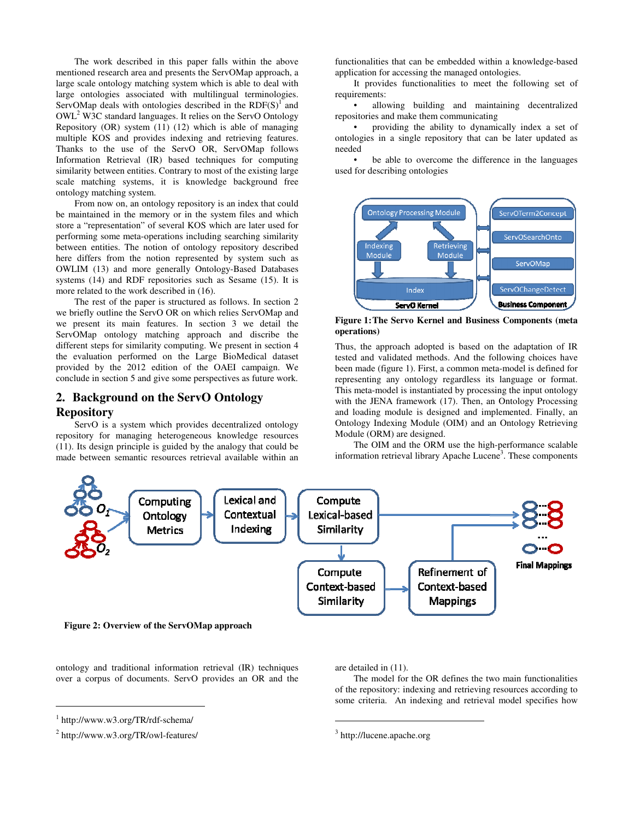The work described in this paper falls within the above mentioned research area and presents the ServOMap approach, a large scale ontology matching system which is able to deal with large ontologies associated with multilingual terminologies. ServOMap deals with ontologies described in the  $RDF(S)^{1}$  and OWL<sup>2</sup> W3C standard languages. It relies on the ServO Ontology Repository (OR) system (11) (12) which is able of managing multiple KOS and provides indexing and retrieving features. Thanks to the use of the ServO OR, ServOMap follows Information Retrieval (IR) based techniques for computing similarity between entities. Contrary to most of the existing large scale matching systems, it is knowledge background free ontology matching system.

From now on, an ontology repository is an index that could be maintained in the memory or in the system files and which store a "representation" of several KOS which are later used for performing some meta-operations including searching similarity between entities. The notion of ontology repository described here differs from the notion represented by system such as OWLIM (13) and more generally Ontology-Based Databases systems (14) and RDF repositories such as Sesame (15). It is more related to the work described in (16).

The rest of the paper is structured as follows. In section 2 we briefly outline the ServO OR on which relies ServOMap and we present its main features. In section 3 we detail the ServOMap ontology matching approach and discribe the different steps for similarity computing. We present in section 4 the evaluation performed on the Large BioMedical dataset provided by the 2012 edition of the OAEI campaign. We conclude in section 5 and give some perspectives as future work.

# **2. Background on the ServO Ontology Repository**

ServO is a system which provides decentralized ontology repository for managing heterogeneous knowledge resources (11). Its design principle is guided by the analogy that could be made between semantic resources retrieval available within an

functionalities that can be embedded within a knowledge-based application for accessing the managed ontologies.

It provides functionalities to meet the following set of requirements:

allowing building and maintaining decentralized repositories and make them communicating

• providing the ability to dynamically index a set of ontologies in a single repository that can be later updated as needed

be able to overcome the difference in the languages used for describing ontologies



**Figure 1: The Servo Kernel and Business Components (meta operations)** 

Thus, the approach adopted is based on the adaptation of IR tested and validated methods. And the following choices have been made (figure 1). First, a common meta-model is defined for representing any ontology regardless its language or format. This meta-model is instantiated by processing the input ontology with the JENA framework (17). Then, an Ontology Processing and loading module is designed and implemented. Finally, an Ontology Indexing Module (OIM) and an Ontology Retrieving Module (ORM) are designed.

The OIM and the ORM use the high-performance scalable information retrieval library Apache Lucene<sup>3</sup>. These components



ontology and traditional information retrieval (IR) techniques over a corpus of documents. ServO provides an OR and the

1

are detailed in (11).

 $\overline{a}$ 

The model for the OR defines the two main functionalities of the repository: indexing and retrieving resources according to some criteria. An indexing and retrieval model specifies how

<sup>1</sup> http://www.w3.org/TR/rdf-schema/

<sup>2</sup> http://www.w3.org/TR/owl-features/

<sup>&</sup>lt;sup>3</sup> http://lucene.apache.org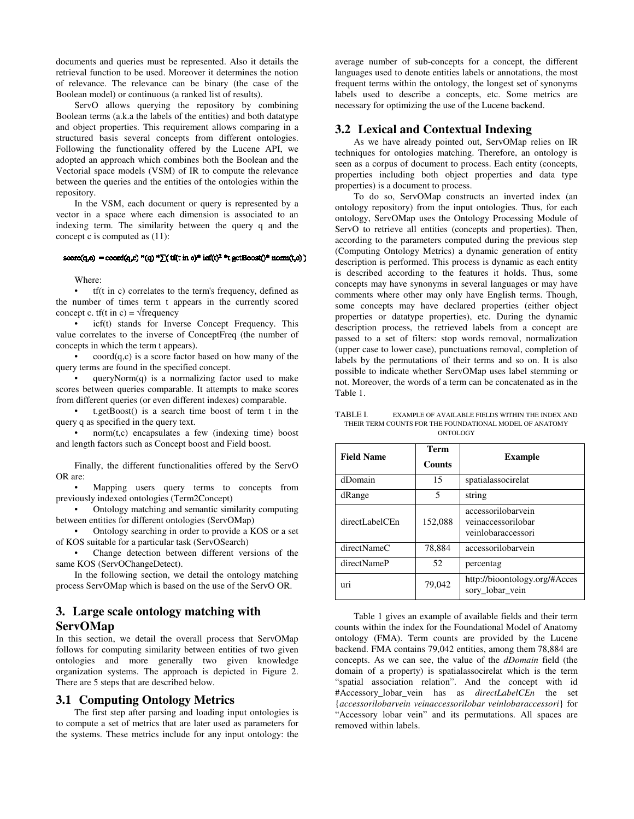documents and queries must be represented. Also it details the retrieval function to be used. Moreover it determines the notion of relevance. The relevance can be binary (the case of the Boolean model) or continuous (a ranked list of results).

ServO allows querying the repository by combining Boolean terms (a.k.a the labels of the entities) and both datatype and object properties. This requirement allows comparing in a structured basis several concepts from different ontologies. Following the functionality offered by the Lucene API, we adopted an approach which combines both the Boolean and the Vectorial space models (VSM) of IR to compute the relevance between the queries and the entities of the ontologies within the repository.

In the VSM, each document or query is represented by a vector in a space where each dimension is associated to an indexing term. The similarity between the query q and the concept c is computed as (11):

#### $score(q, c) = coord(q, c)$  "(q) " $\sum$ ( tf(t in c)" icf(t)<sup>2</sup> "t getBoost()" norm(t,c))

Where:

• tf(t in c) correlates to the term's frequency, defined as the number of times term t appears in the currently scored concept c. tf(t in c) =  $\sqrt{\text{frequency}}$ 

icf(t) stands for Inverse Concept Frequency. This value correlates to the inverse of ConceptFreq (the number of concepts in which the term t appears).

• coord(q,c) is a score factor based on how many of the query terms are found in the specified concept.

queryNorm $(q)$  is a normalizing factor used to make scores between queries comparable. It attempts to make scores from different queries (or even different indexes) comparable.

• t.getBoost() is a search time boost of term t in the query q as specified in the query text.

 $norm(t,c)$  encapsulates a few (indexing time) boost and length factors such as Concept boost and Field boost.

Finally, the different functionalities offered by the ServO OR are:

Mapping users query terms to concepts from previously indexed ontologies (Term2Concept)

• Ontology matching and semantic similarity computing between entities for different ontologies (ServOMap)

• Ontology searching in order to provide a KOS or a set of KOS suitable for a particular task (ServOSearch)

• Change detection between different versions of the same KOS (ServOChangeDetect).

In the following section, we detail the ontology matching process ServOMap which is based on the use of the ServO OR.

# **3. Large scale ontology matching with ServOMap**

In this section, we detail the overall process that ServOMap follows for computing similarity between entities of two given ontologies and more generally two given knowledge organization systems. The approach is depicted in Figure 2. There are 5 steps that are described below.

## **3.1 Computing Ontology Metrics**

The first step after parsing and loading input ontologies is to compute a set of metrics that are later used as parameters for the systems. These metrics include for any input ontology: the

average number of sub-concepts for a concept, the different languages used to denote entities labels or annotations, the most frequent terms within the ontology, the longest set of synonyms labels used to describe a concepts, etc. Some metrics are necessary for optimizing the use of the Lucene backend.

## **3.2 Lexical and Contextual Indexing**

As we have already pointed out, ServOMap relies on IR techniques for ontologies matching. Therefore, an ontology is seen as a corpus of document to process. Each entity (concepts, properties including both object properties and data type properties) is a document to process.

To do so, ServOMap constructs an inverted index (an ontology repository) from the input ontologies. Thus, for each ontology, ServOMap uses the Ontology Processing Module of ServO to retrieve all entities (concepts and properties). Then, according to the parameters computed during the previous step (Computing Ontology Metrics) a dynamic generation of entity description is performed. This process is dynamic as each entity is described according to the features it holds. Thus, some concepts may have synonyms in several languages or may have comments where other may only have English terms. Though, some concepts may have declared properties (either object properties or datatype properties), etc. During the dynamic description process, the retrieved labels from a concept are passed to a set of filters: stop words removal, normalization (upper case to lower case), punctuations removal, completion of labels by the permutations of their terms and so on. It is also possible to indicate whether ServOMap uses label stemming or not. Moreover, the words of a term can be concatenated as in the Table 1.

TABLE I. EXAMPLE OF AVAILABLE FIELDS WITHIN THE INDEX AND THEIR TERM COUNTS FOR THE FOUNDATIONAL MODEL OF ANATOMY ONTOLOGY

| <b>Field Name</b> | Term<br><b>Counts</b> | <b>Example</b>                                                 |
|-------------------|-----------------------|----------------------------------------------------------------|
| dDomain           | 15                    | spatialassocirelat                                             |
| dRange            | 5                     | string                                                         |
| directLabelCEn    | 152,088               | accessorilobarvein<br>veinaccessorilobar<br>veinlobaraccessori |
| directNameC       | 78,884                | accessorilobarvein                                             |
| directNameP       | 52                    | percentag                                                      |
| 1111              | 79,042                | http://bioontology.org/#Acces<br>sory lobar vein               |

Table 1 gives an example of available fields and their term counts within the index for the Foundational Model of Anatomy ontology (FMA). Term counts are provided by the Lucene backend. FMA contains 79,042 entities, among them 78,884 are concepts. As we can see, the value of the *dDomain* field (the domain of a property) is spatialassocirelat which is the term "spatial association relation". And the concept with id #Accessory\_lobar\_vein has as *directLabelCEn* the set {*accessorilobarvein veinaccessorilobar veinlobaraccessori*} for "Accessory lobar vein" and its permutations. All spaces are removed within labels.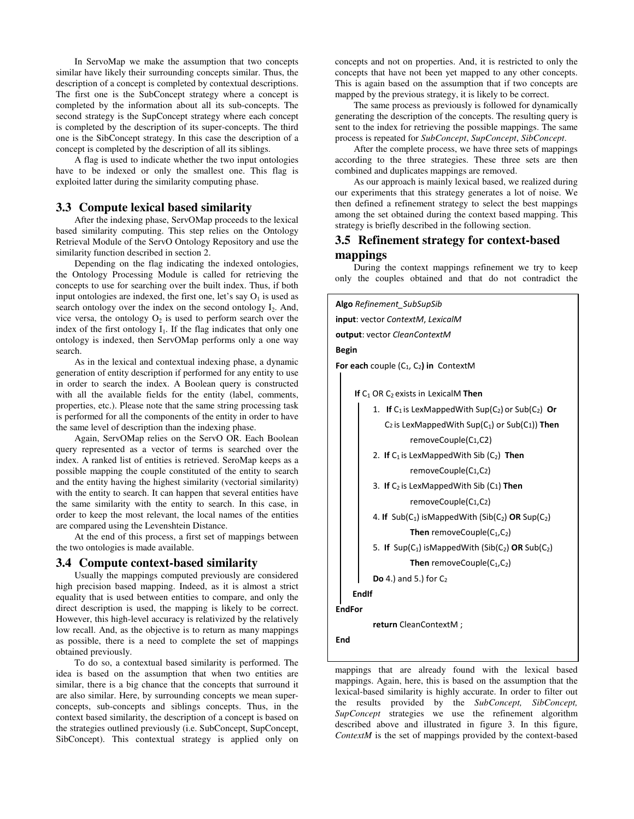In ServoMap we make the assumption that two concepts similar have likely their surrounding concepts similar. Thus, the description of a concept is completed by contextual descriptions. The first one is the SubConcept strategy where a concept is completed by the information about all its sub-concepts. The second strategy is the SupConcept strategy where each concept is completed by the description of its super-concepts. The third one is the SibConcept strategy. In this case the description of a concept is completed by the description of all its siblings.

A flag is used to indicate whether the two input ontologies have to be indexed or only the smallest one. This flag is exploited latter during the similarity computing phase.

## **3.3 Compute lexical based similarity**

After the indexing phase, ServOMap proceeds to the lexical based similarity computing. This step relies on the Ontology Retrieval Module of the ServO Ontology Repository and use the similarity function described in section 2.

Depending on the flag indicating the indexed ontologies, the Ontology Processing Module is called for retrieving the concepts to use for searching over the built index. Thus, if both input ontologies are indexed, the first one, let's say  $O<sub>1</sub>$  is used as search ontology over the index on the second ontology  $I_2$ . And, vice versa, the ontology  $O_2$  is used to perform search over the index of the first ontology  $I_1$ . If the flag indicates that only one ontology is indexed, then ServOMap performs only a one way search.

As in the lexical and contextual indexing phase, a dynamic generation of entity description if performed for any entity to use in order to search the index. A Boolean query is constructed with all the available fields for the entity (label, comments, properties, etc.). Please note that the same string processing task is performed for all the components of the entity in order to have the same level of description than the indexing phase.

Again, ServOMap relies on the ServO OR. Each Boolean query represented as a vector of terms is searched over the index. A ranked list of entities is retrieved. SeroMap keeps as a possible mapping the couple constituted of the entity to search and the entity having the highest similarity (vectorial similarity) with the entity to search. It can happen that several entities have the same similarity with the entity to search. In this case, in order to keep the most relevant, the local names of the entities are compared using the Levenshtein Distance.

At the end of this process, a first set of mappings between the two ontologies is made available.

## **3.4 Compute context-based similarity**

Usually the mappings computed previously are considered high precision based mapping. Indeed, as it is almost a strict equality that is used between entities to compare, and only the direct description is used, the mapping is likely to be correct. However, this high-level accuracy is relativized by the relatively low recall. And, as the objective is to return as many mappings as possible, there is a need to complete the set of mappings obtained previously.

To do so, a contextual based similarity is performed. The idea is based on the assumption that when two entities are similar, there is a big chance that the concepts that surround it are also similar. Here, by surrounding concepts we mean superconcepts, sub-concepts and siblings concepts. Thus, in the context based similarity, the description of a concept is based on the strategies outlined previously (i.e. SubConcept, SupConcept, SibConcept). This contextual strategy is applied only on concepts and not on properties. And, it is restricted to only the concepts that have not been yet mapped to any other concepts. This is again based on the assumption that if two concepts are mapped by the previous strategy, it is likely to be correct.

The same process as previously is followed for dynamically generating the description of the concepts. The resulting query is sent to the index for retrieving the possible mappings. The same process is repeated for *SubConcept*, *SupConcept*, *SibConcept*.

After the complete process, we have three sets of mappings according to the three strategies. These three sets are then combined and duplicates mappings are removed.

As our approach is mainly lexical based, we realized during our experiments that this strategy generates a lot of noise. We then defined a refinement strategy to select the best mappings among the set obtained during the context based mapping. This strategy is briefly described in the following section.

## **3.5 Refinement strategy for context-based mappings**

During the context mappings refinement we try to keep only the couples obtained and that do not contradict the

**Algo** *Refinement\_SubSupSib* **input**: vector *ContextM*, *LexicalM*

**output**: vector *CleanContextM*

**Begin** 

**For each** couple  $(C_1, C_2)$  in ContextM

**If** C<sub>1</sub> OR C<sub>2</sub> exists in LexicalM Then

- 1. **If**  $C_1$  is LexMappedWith Sup( $C_2$ ) or Sub( $C_2$ ) **Or**  C<sup>2</sup> is LexMappedWith Sup(C1) or Sub(C1)) **Then** removeCouple(C1,C2)
- 2. If C<sub>1</sub> is LexMappedWith Sib (C<sub>2</sub>) Then removeCouple(C1,C2)
- 3. **If** C2 is LexMappedWith Sib (C1) **Then** removeCouple(C1,C2)
- 4. **If** Sub(C1) isMappedWith (Sib(C2) **OR** Sup(C2) **Then** removeCouple( $C_1$ , $C_2$ )
- 5. **If** Sup(C1) isMappedWith (Sib(C2) **OR** Sub(C2)

Then removeCouple(C<sub>1</sub>,C<sub>2</sub>)

**Do** 4.) and 5.) for C<sub>2</sub>

**EndIf** 

**EndFor** 

**return** CleanContextM ;

**End** 

mappings that are already found with the lexical based mappings. Again, here, this is based on the assumption that the lexical-based similarity is highly accurate. In order to filter out the results provided by the *SubConcept, SibConcept, SupConcept* strategies we use the refinement algorithm described above and illustrated in figure 3. In this figure, *ContextM* is the set of mappings provided by the context-based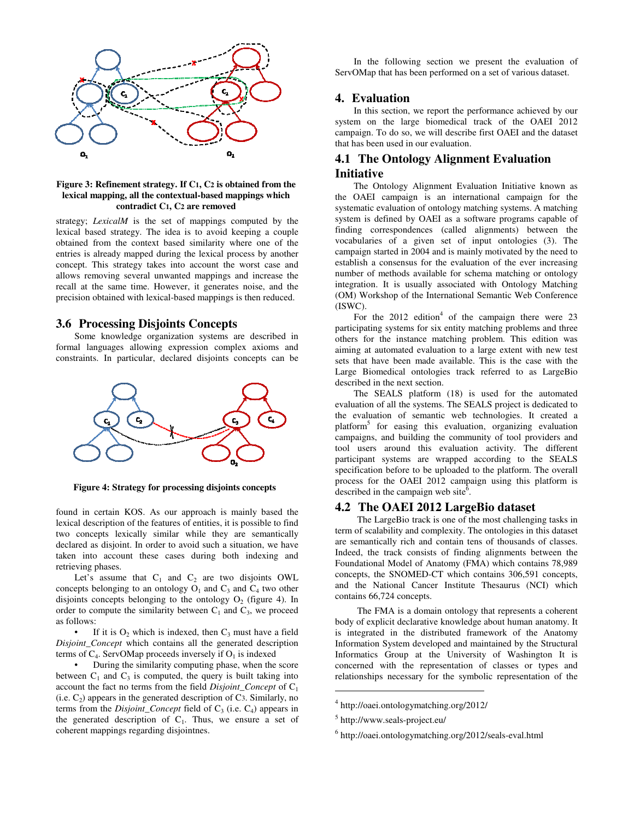

#### **Figure 3: Refinement strategy. If C1, C2 is obtained from the lexical mapping, all the contextual-based mappings which contradict C1, C2 are removed**

strategy; *LexicalM* is the set of mappings computed by the lexical based strategy. The idea is to avoid keeping a couple obtained from the context based similarity where one of the entries is already mapped during the lexical process by another concept. This strategy takes into account the worst case and allows removing several unwanted mappings and increase the recall at the same time. However, it generates noise, and the precision obtained with lexical-based mappings is then reduced.

## **3.6 Processing Disjoints Concepts**

Some knowledge organization systems are described in formal languages allowing expression complex axioms and constraints. In particular, declared disjoints concepts can be



**Figure 4: Strategy for processing disjoints concepts** 

found in certain KOS. As our approach is mainly based the lexical description of the features of entities, it is possible to find two concepts lexically similar while they are semantically declared as disjoint. In order to avoid such a situation, we have taken into account these cases during both indexing and retrieving phases.

Let's assume that  $C_1$  and  $C_2$  are two disjoints OWL concepts belonging to an ontology  $O_1$  and  $C_3$  and  $C_4$  two other disjoints concepts belonging to the ontology  $O_2$  (figure 4). In order to compute the similarity between  $C_1$  and  $C_3$ , we proceed as follows:

• If it is  $O_2$  which is indexed, then  $C_3$  must have a field *Disjoint\_Concept* which contains all the generated description terms of  $C_4$ . ServOMap proceeds inversely if  $O_1$  is indexed

• During the similarity computing phase, when the score between  $C_1$  and  $C_3$  is computed, the query is built taking into account the fact no terms from the field *Disjoint\_Concept* of C<sup>1</sup>  $(i.e. C<sub>2</sub>)$  appears in the generated description of C3. Similarly, no terms from the *Disjoint\_Concept* field of  $C_3$  (i.e.  $C_4$ ) appears in the generated description of  $C_1$ . Thus, we ensure a set of coherent mappings regarding disjointnes.

In the following section we present the evaluation of ServOMap that has been performed on a set of various dataset.

#### **4. Evaluation**

In this section, we report the performance achieved by our system on the large biomedical track of the OAEI 2012 campaign. To do so, we will describe first OAEI and the dataset that has been used in our evaluation.

# **4.1 The Ontology Alignment Evaluation Initiative**

The Ontology Alignment Evaluation Initiative known as the OAEI campaign is an international campaign for the systematic evaluation of ontology matching systems. A matching system is defined by OAEI as a software programs capable of finding correspondences (called alignments) between the vocabularies of a given set of input ontologies (3). The campaign started in 2004 and is mainly motivated by the need to establish a consensus for the evaluation of the ever increasing number of methods available for schema matching or ontology integration. It is usually associated with Ontology Matching (OM) Workshop of the International Semantic Web Conference (ISWC).

For the  $2012$  edition<sup>4</sup> of the campaign there were 23 participating systems for six entity matching problems and three others for the instance matching problem. This edition was aiming at automated evaluation to a large extent with new test sets that have been made available. This is the case with the Large Biomedical ontologies track referred to as LargeBio described in the next section.

The SEALS platform (18) is used for the automated evaluation of all the systems. The SEALS project is dedicated to the evaluation of semantic web technologies. It created a platform<sup>5</sup> for easing this evaluation, organizing evaluation campaigns, and building the community of tool providers and tool users around this evaluation activity. The different participant systems are wrapped according to the SEALS specification before to be uploaded to the platform. The overall process for the OAEI 2012 campaign using this platform is described in the campaign web site<sup> $\overline{6}$ </sup>.

## **4.2 The OAEI 2012 LargeBio dataset**

The LargeBio track is one of the most challenging tasks in term of scalability and complexity. The ontologies in this dataset are semantically rich and contain tens of thousands of classes. Indeed, the track consists of finding alignments between the Foundational Model of Anatomy (FMA) which contains 78,989 concepts, the SNOMED-CT which contains 306,591 concepts, and the National Cancer Institute Thesaurus (NCI) which contains 66,724 concepts.

The FMA is a domain ontology that represents a coherent body of explicit declarative knowledge about human anatomy. It is integrated in the distributed framework of the Anatomy Information System developed and maintained by the Structural Informatics Group at the University of Washington It is concerned with the representation of classes or types and relationships necessary for the symbolic representation of the

j

<sup>4</sup> http://oaei.ontologymatching.org/2012/

<sup>5</sup> http://www.seals-project.eu/

<sup>6</sup> http://oaei.ontologymatching.org/2012/seals-eval.html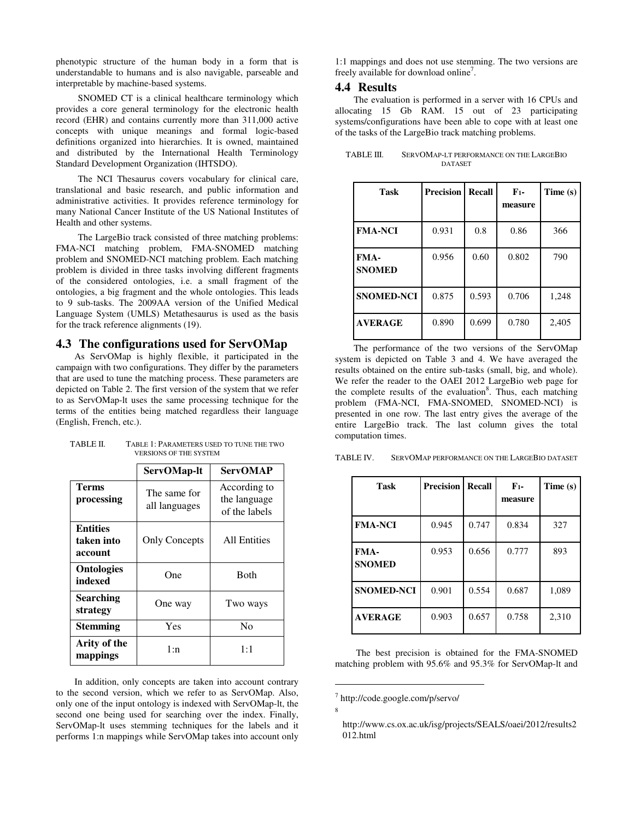phenotypic structure of the human body in a form that is understandable to humans and is also navigable, parseable and interpretable by machine-based systems.

SNOMED CT is a clinical healthcare terminology which provides a core general terminology for the electronic health record (EHR) and contains currently more than 311,000 active concepts with unique meanings and formal logic-based definitions organized into hierarchies. It is owned, maintained and distributed by the International Health Terminology Standard Development Organization (IHTSDO).

The NCI Thesaurus covers vocabulary for clinical care, translational and basic research, and public information and administrative activities. It provides reference terminology for many National Cancer Institute of the US National Institutes of Health and other systems.

The LargeBio track consisted of three matching problems: FMA-NCI matching problem, FMA-SNOMED matching problem and SNOMED-NCI matching problem. Each matching problem is divided in three tasks involving different fragments of the considered ontologies, i.e. a small fragment of the ontologies, a big fragment and the whole ontologies. This leads to 9 sub-tasks. The 2009AA version of the Unified Medical Language System (UMLS) Metathesaurus is used as the basis for the track reference alignments (19).

## **4.3 The configurations used for ServOMap**

As ServOMap is highly flexible, it participated in the campaign with two configurations. They differ by the parameters that are used to tune the matching process. These parameters are depicted on Table 2. The first version of the system that we refer to as ServOMap-lt uses the same processing technique for the terms of the entities being matched regardless their language (English, French, etc.).

|                                          | ServOMap-lt                   | <b>ServOMAP</b>                               |  |  |  |
|------------------------------------------|-------------------------------|-----------------------------------------------|--|--|--|
| Terms<br>processing                      | The same for<br>all languages | According to<br>the language<br>of the labels |  |  |  |
| <b>Entities</b><br>taken into<br>account | <b>Only Concepts</b>          | All Entities                                  |  |  |  |
| <b>Ontologies</b><br>indexed             | One                           | <b>B</b> oth                                  |  |  |  |
| <b>Searching</b><br>strategy             | One way                       | Two ways                                      |  |  |  |
| <b>Stemming</b>                          | Yes                           | No                                            |  |  |  |
| Arity of the<br>mappings                 | 1:n                           | 1:1                                           |  |  |  |

TABLE II. TABLE 1: PARAMETERS USED TO TUNE THE TWO VERSIONS OF THE SYSTEM

In addition, only concepts are taken into account contrary to the second version, which we refer to as ServOMap. Also, only one of the input ontology is indexed with ServOMap-lt, the second one being used for searching over the index. Finally, ServOMap-lt uses stemming techniques for the labels and it performs 1:n mappings while ServOMap takes into account only 1:1 mappings and does not use stemming. The two versions are freely available for download online<sup>7</sup>.

## **4.4 Results**

The evaluation is performed in a server with 16 CPUs and allocating 15 Gb RAM. 15 out of 23 participating systems/configurations have been able to cope with at least one of the tasks of the LargeBio track matching problems.

| TABLE III. | SERVOMAP-LT PERFORMANCE ON THE LARGEBIO |  |  |
|------------|-----------------------------------------|--|--|
|            | <b>DATASET</b>                          |  |  |

| <b>Task</b>           | <b>Precision</b> | Recall | F <sub>1</sub><br>measure | Time (s) |
|-----------------------|------------------|--------|---------------------------|----------|
| <b>FMA-NCI</b>        | 0.931            | 0.8    | 0.86                      | 366      |
| FMA-<br><b>SNOMED</b> | 0.956            | 0.60   | 0.802                     | 790      |
| <b>SNOMED-NCI</b>     | 0.875            | 0.593  | 0.706                     | 1,248    |
| <b>AVERAGE</b>        | 0.890            | 0.699  | 0.780                     | 2,405    |

The performance of the two versions of the ServOMap system is depicted on Table 3 and 4. We have averaged the results obtained on the entire sub-tasks (small, big, and whole). We refer the reader to the OAEI 2012 LargeBio web page for the complete results of the evaluation<sup>8</sup>. Thus, each matching problem (FMA-NCI, FMA-SNOMED, SNOMED-NCI) is presented in one row. The last entry gives the average of the entire LargeBio track. The last column gives the total computation times.

TABLE IV. SERVOMAP PERFORMANCE ON THE LARGEBIO DATASET

| <b>Task</b>           | <b>Precision</b> | Recall | F <sub>1</sub><br>measure | Time (s) |
|-----------------------|------------------|--------|---------------------------|----------|
| <b>FMA-NCI</b>        | 0.945            | 0.747  | 0.834                     | 327      |
| FMA-<br><b>SNOMED</b> | 0.953            | 0.656  | 0.777                     | 893      |
| <b>SNOMED-NCI</b>     | 0.901            | 0.554  | 0.687                     | 1,089    |
| <b>AVERAGE</b>        | 0.903            | 0.657  | 0.758                     | 2,310    |

 The best precision is obtained for the FMA-SNOMED matching problem with 95.6% and 95.3% for ServOMap-lt and

j

<sup>7</sup> http://code.google.com/p/servo/

<sup>8</sup>

http://www.cs.ox.ac.uk/isg/projects/SEALS/oaei/2012/results2 012.html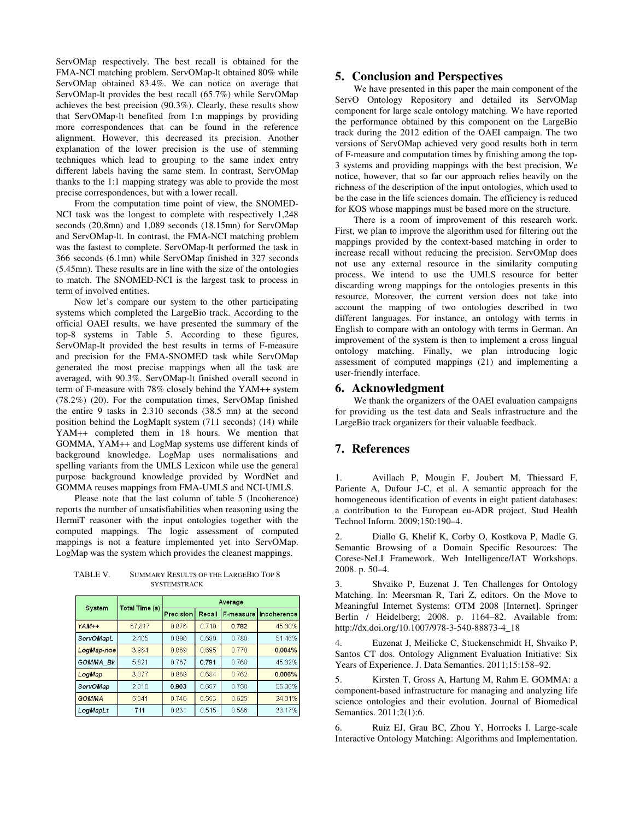ServOMap respectively. The best recall is obtained for the FMA-NCI matching problem. ServOMap-lt obtained 80% while ServOMap obtained 83.4%. We can notice on average that ServOMap-lt provides the best recall (65.7%) while ServOMap achieves the best precision (90.3%). Clearly, these results show that ServOMap-lt benefited from 1:n mappings by providing more correspondences that can be found in the reference alignment. However, this decreased its precision. Another explanation of the lower precision is the use of stemming techniques which lead to grouping to the same index entry different labels having the same stem. In contrast, ServOMap thanks to the 1:1 mapping strategy was able to provide the most precise correspondences, but with a lower recall.

From the computation time point of view, the SNOMED-NCI task was the longest to complete with respectively 1,248 seconds (20.8mn) and 1,089 seconds (18.15mn) for ServOMap and ServOMap-lt. In contrast, the FMA-NCI matching problem was the fastest to complete. ServOMap-lt performed the task in 366 seconds (6.1mn) while ServOMap finished in 327 seconds (5.45mn). These results are in line with the size of the ontologies to match. The SNOMED-NCI is the largest task to process in term of involved entities.

Now let's compare our system to the other participating systems which completed the LargeBio track. According to the official OAEI results, we have presented the summary of the top-8 systems in Table 5. According to these figures, ServOMap-lt provided the best results in terms of F-measure and precision for the FMA-SNOMED task while ServOMap generated the most precise mappings when all the task are averaged, with 90.3%. ServOMap-lt finished overall second in term of F-measure with 78% closely behind the YAM++ system (78.2%) (20). For the computation times, ServOMap finished the entire 9 tasks in 2.310 seconds (38.5 mn) at the second position behind the LogMaplt system (711 seconds) (14) while YAM++ completed them in 18 hours. We mention that GOMMA, YAM++ and LogMap systems use different kinds of background knowledge. LogMap uses normalisations and spelling variants from the UMLS Lexicon while use the general purpose background knowledge provided by WordNet and GOMMA reuses mappings from FMA-UMLS and NCI-UMLS.

Please note that the last column of table 5 (Incoherence) reports the number of unsatisfiabilities when reasoning using the HermiT reasoner with the input ontologies together with the computed mappings. The logic assessment of computed mappings is not a feature implemented yet into ServOMap. LogMap was the system which provides the cleanest mappings.

TABLE V. SUMMARY RESULTS OF THE LARGEBIO TOP 8 SYSTEMSTRACK

| System       | <b>Total Time (s)</b> | Average   |        |           |             |  |
|--------------|-----------------------|-----------|--------|-----------|-------------|--|
|              |                       | Precision | Recall | F-measure | Incoherence |  |
| $YAM++$      | 67,817                | 0876      | 0.710  | 0.782     | 45.30%      |  |
| ServOMapL    | 2,405                 | 0.890     | 0.699  | 0780      | 51.46%      |  |
| LogMap noe   | 3.964                 | 0.869     | 0.695  | 0.770     | 0.004%      |  |
| GOMMA Bk     | 5.821                 | 0.767     | 0.791  | 0768      | 45.32%      |  |
| LogMap       | 3.077                 | 0.869     | 0.684  | 0.762     | 0.006%      |  |
| ServOMap     | 2.310                 | 0.903     | 0.657  | 0.758     | 55.36%      |  |
| <b>GOMMA</b> | 5.341                 | 0.746     | 0.553  | 0.625     | 24.01%      |  |
| LogMapLt     | 711                   | 0.831     | 0.515  | 0.586     | 33.17%      |  |

## **5. Conclusion and Perspectives**

We have presented in this paper the main component of the ServO Ontology Repository and detailed its ServOMap component for large scale ontology matching. We have reported the performance obtained by this component on the LargeBio track during the 2012 edition of the OAEI campaign. The two versions of ServOMap achieved very good results both in term of F-measure and computation times by finishing among the top-3 systems and providing mappings with the best precision. We notice, however, that so far our approach relies heavily on the richness of the description of the input ontologies, which used to be the case in the life sciences domain. The efficiency is reduced for KOS whose mappings must be based more on the structure.

There is a room of improvement of this research work. First, we plan to improve the algorithm used for filtering out the mappings provided by the context-based matching in order to increase recall without reducing the precision. ServOMap does not use any external resource in the similarity computing process. We intend to use the UMLS resource for better discarding wrong mappings for the ontologies presents in this resource. Moreover, the current version does not take into account the mapping of two ontologies described in two different languages. For instance, an ontology with terms in English to compare with an ontology with terms in German. An improvement of the system is then to implement a cross lingual ontology matching. Finally, we plan introducing logic assessment of computed mappings (21) and implementing a user-friendly interface.

#### **6. Acknowledgment**

We thank the organizers of the OAEI evaluation campaigns for providing us the test data and Seals infrastructure and the LargeBio track organizers for their valuable feedback.

## **7. References**

1. Avillach P, Mougin F, Joubert M, Thiessard F, Pariente A, Dufour J-C, et al. A semantic approach for the homogeneous identification of events in eight patient databases: a contribution to the European eu-ADR project. Stud Health Technol Inform. 2009;150:190–4.

2. Diallo G, Khelif K, Corby O, Kostkova P, Madle G. Semantic Browsing of a Domain Specific Resources: The Corese-NeLI Framework. Web Intelligence/IAT Workshops. 2008. p. 50–4.

3. Shvaiko P, Euzenat J. Ten Challenges for Ontology Matching. In: Meersman R, Tari Z, editors. On the Move to Meaningful Internet Systems: OTM 2008 [Internet]. Springer Berlin / Heidelberg; 2008. p. 1164–82. Available from: http://dx.doi.org/10.1007/978-3-540-88873-4\_18

4. Euzenat J, Meilicke C, Stuckenschmidt H, Shvaiko P, Santos CT dos. Ontology Alignment Evaluation Initiative: Six Years of Experience. J. Data Semantics. 2011;15:158–92.

5. Kirsten T, Gross A, Hartung M, Rahm E. GOMMA: a component-based infrastructure for managing and analyzing life science ontologies and their evolution. Journal of Biomedical Semantics. 2011;2(1):6.

6. Ruiz EJ, Grau BC, Zhou Y, Horrocks I. Large-scale Interactive Ontology Matching: Algorithms and Implementation.